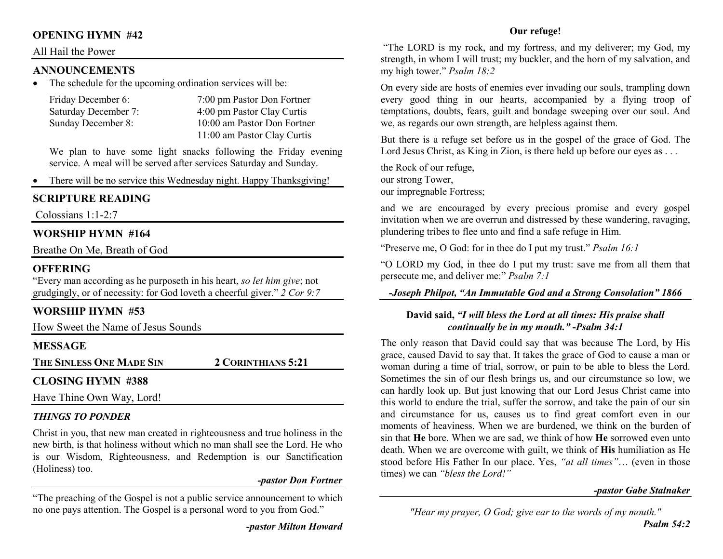# **OPENING HYMN #42**

#### All Hail the Power

#### **ANNOUNCEMENTS**

 The schedule for the upcoming ordination services will be: •

| Friday December 6:   | 7:00 pm Pastor Don Fortner  |
|----------------------|-----------------------------|
| Saturday December 7: | 4:00 pm Pastor Clay Curtis  |
| Sunday December 8:   | 10:00 am Pastor Don Fortner |
|                      | 11:00 am Pastor Clay Curtis |

We plan to have some light snacks following the Friday evening service. A meal will be served after services Saturday and Sunday.

•There will be no service this Wednesday night. Happy Thanksgiving!

# **SCRIPTURE READING**

Colossians 1:1-2:7

# **WORSHIP HYMN #164**

Breathe On Me, Breath of God

# **OFFERING**

 "Every man according as he purposeth in his heart, *so let him give*; not grudgingly, or of necessity: for God loveth a cheerful giver." *2 Cor 9:7*

# **WORSHIP HYMN #53**

How Sweet the Name of Jesus Sounds

# **MESSAGE**

**THE SINLESS ONE MADE SIN2CORINTHIANS 5:21** 

# **CLOSING HYMN #388**

Have Thine Own Way, Lord!

# *THINGS TO PONDER*

 Christ in you, that new man created in righteousness and true holiness in the new birth, is that holiness without which no man shall see the Lord. He who is our Wisdom, Righteousness, and Redemption is our Sanctification (Holiness) too.

#### *-pastor Don Fortner*

"The preaching of the Gospel is not a public service announcement to which no one pays attention. The Gospel is a personal word to you from God."

#### **Our refuge!**

 "The LORD is my rock, and my fortress, and my deliverer; my God, my strength, in whom I will trust; my buckler, and the horn of my salvation, and my high tower." *Psalm 18:2*

On every side are hosts of enemies ever invading our souls, trampling down every good thing in our hearts, accompanied by a flying troop of temptations, doubts, fears, guilt and bondage sweeping over our soul. And we, as regards our own strength, are helpless against them.

But there is a refuge set before us in the gospel of the grace of God. The Lord Jesus Christ, as King in Zion, is there held up before our eyes as ...

the Rock of our refuge, our strong Tower, our impregnable Fortress;

and we are encouraged by every precious promise and every gospel invitation when we are overrun and distressed by these wandering, ravaging, plundering tribes to flee unto and find a safe refuge in Him.

"Preserve me, O God: for in thee do I put my trust." *Psalm 16:1* 

"O LORD my God, in thee do I put my trust: save me from all them that persecute me, and deliver me:" *Psalm 7:1* 

*-Joseph Philpot, "An Immutable God and a Strong Consolation" 1866*

#### **David said,** *"I will bless the Lord at all times: His praise shall continually be in my mouth."* **-***Psalm 34:1*

The only reason that David could say that was because The Lord, by His grace, caused David to say that. It takes the grace of God to cause a man or woman during a time of trial, sorrow, or pain to be able to bless the Lord. Sometimes the sin of our flesh brings us, and our circumstance so low, we can hardly look up. But just knowing that our Lord Jesus Christ came into this world to endure the trial, suffer the sorrow, and take the pain of our sin and circumstance for us, causes us to find great comfort even in our moments of heaviness. When we are burdened, we think on the burden of sin that **He** bore. When we are sad, we think of how **He** sorrowed even unto death. When we are overcome with guilt, we think of **His** humiliation as He stood before His Father In our place. Yes, *"at all times"*… (even in those times) we can *"bless the Lord!"* 

#### *-pastor Gabe Stalnaker*

*"Hear my prayer, O God; give ear to the words of my mouth."*